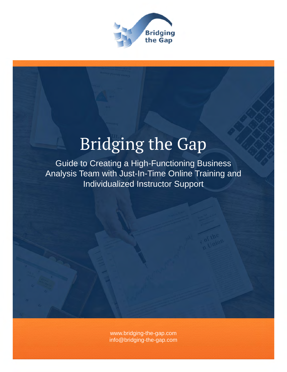

# Bridging the Gap

Guide to Creating a High-Functioning Business Analysis Team with Just-In-Time Online Training and Individualized Instructor Support

> [www.bridging-the-gap.com](http://www.bridging-the-gap.com) [info@bridging-the-gap.com](mailto:info@bridging-the-gap.com)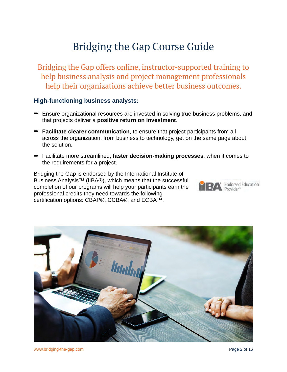## Bridging the Gap Course Guide

Bridging the Gap offers online, instructor-supported training to help business analysis and project management professionals help their organizations achieve better business outcomes.

### **High-functioning business analysts:**

- Ensure organizational resources are invested in solving true business problems, and that projects deliver a **positive return on investment**.
- ➡ **Facilitate clearer communication**, to ensure that project participants from all across the organization, from business to technology, get on the same page about the solution.
- ➡ Facilitate more streamlined, **faster decision-making processes**, when it comes to the requirements for a project.

Bridging the Gap is endorsed by the International Institute of Business Analysis™ (IIBA®), which means that the successful completion of our programs will help your participants earn the professional credits they need towards the following certification options: CBAP®, CCBA®, and ECBA™.



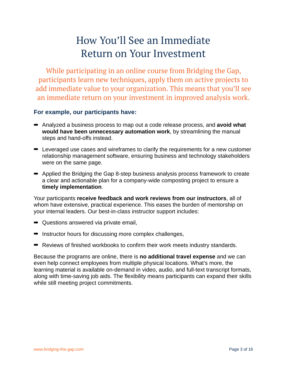## How You'll See an Immediate Return on Your Investment

While participating in an online course from Bridging the Gap, participants learn new techniques, apply them on active projects to add immediate value to your organization. This means that you'll see an immediate return on your investment in improved analysis work.

### **For example, our participants have:**

- ➡ Analyzed a business process to map out a code release process, and **avoid what would have been unnecessary automation work**, by streamlining the manual steps and hand-offs instead.
- $\rightarrow$  Leveraged use cases and wireframes to clarify the requirements for a new customer relationship management software, ensuring business and technology stakeholders were on the same page.
- ➡ Applied the Bridging the Gap 8-step business analysis process framework to create a clear and actionable plan for a company-wide composting project to ensure a **timely implementation**.

Your participants **receive feedback and work reviews from our instructors**, all of whom have extensive, practical experience. This eases the burden of mentorship on your internal leaders. Our best-in-class instructor support includes:

- ➡ Questions answered via private email,
- ➡ Instructor hours for discussing more complex challenges,
- ➡ Reviews of finished workbooks to confirm their work meets industry standards.

Because the programs are online, there is **no additional travel expense** and we can even help connect employees from multiple physical locations. What's more, the learning material is available on-demand in video, audio, and full-text transcript formats, along with time-saving job aids. The flexibility means participants can expand their skills while still meeting project commitments.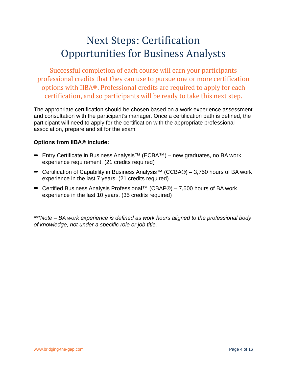## Next Steps: Certification Opportunities for Business Analysts

Successful completion of each course will earn your participants professional credits that they can use to pursue one or more certification options with IIBA®. Professional credits are required to apply for each certification, and so participants will be ready to take this next step.

The appropriate certification should be chosen based on a work experience assessment and consultation with the participant's manager. Once a certification path is defined, the participant will need to apply for the certification with the appropriate professional association, prepare and sit for the exam.

### **Options from IIBA® include:**

- ➡ Entry Certificate in Business Analysis™ (ECBA™) new graduates, no BA work experience requirement. (21 credits required)
- ➡ Certification of Capability in Business Analysis™ (CCBA®) 3,750 hours of BA work experience in the last 7 years. (21 credits required)
- ➡ Certified Business Analysis Professional™ (CBAP®) 7,500 hours of BA work experience in the last 10 years. (35 credits required)

*\*\*\*Note – BA work experience is defined as work hours aligned to the professional body of knowledge, not under a specific role or job title.*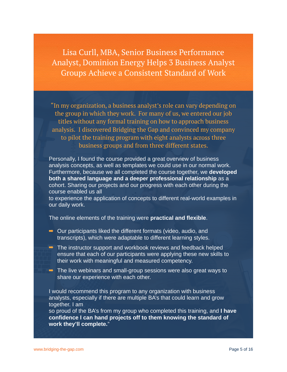Lisa Curll, MBA, Senior Business Performance Analyst, Dominion Energy Helps 3 Business Analyst Groups Achieve a Consistent Standard of Work

"In my organization, a business analyst's role can vary depending on the group in which they work. For many of us, we entered our job titles without any formal training on how to approach business analysis. I discovered Bridging the Gap and convinced my company to pilot the training program with eight analysts across three business groups and from three different states.

Personally, I found the course provided a great overview of business analysis concepts, as well as templates we could use in our normal work. Furthermore, because we all completed the course together, we **developed both a shared language and a deeper professional relationship** as a cohort. Sharing our projects and our progress with each other during the course enabled us all

to experience the application of concepts to different real-world examples in our daily work.

The online elements of the training were **practical and flexible**.

- ➡ Our participants liked the different formats (video, audio, and transcripts), which were adaptable to different learning styles.
- **■** The instructor support and workbook reviews and feedback helped ensure that each of our participants were applying these new skills to their work with meaningful and measured competency.
- $\rightarrow$  The live webinars and small-group sessions were also great ways to share our experience with each other.

I would recommend this program to any organization with business analysts, especially if there are multiple BA's that could learn and grow together. I am

so proud of the BA's from my group who completed this training, and **I have confidence I can hand projects off to them knowing the standard of work they'll complete.**"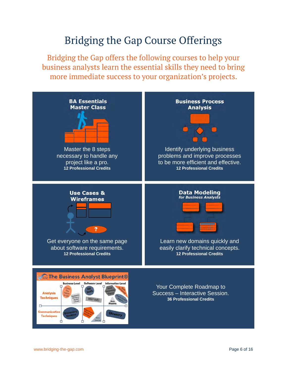## Bridging the Gap Course Offerings

Bridging the Gap offers the following courses to help your business analysts learn the essential skills they need to bring more immediate success to your organization's projects.

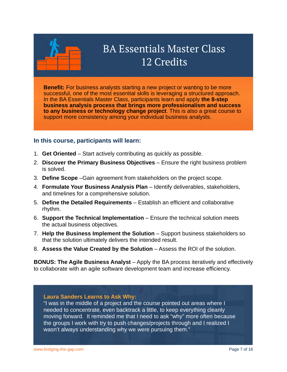

## BA Essentials Master Class 12 Credits

**Benefit:** For business analysts starting a new project or wanting to be more successful, one of the most essential skills is leveraging a structured approach. In the BA Essentials Master Class, participants learn and apply **the 8-step business analysis process that brings more professionalism and success to any business or technology change project**. This is also a great course to support more consistency among your individual business analysts.

### **In this course, participants will learn:**

- 1. **Get Oriented**  Start actively contributing as quickly as possible.
- 2. **Discover the Primary Business Objectives**  Ensure the right business problem is solved.
- 3. **Define Scope** –Gain agreement from stakeholders on the project scope.
- 4. **Formulate Your Business Analysis Plan**  Identify deliverables, stakeholders, and timelines for a comprehensive solution.
- 5. **Define the Detailed Requirements** Establish an efficient and collaborative rhythm.
- 6. **Support the Technical Implementation** Ensure the technical solution meets the actual business objectives.
- 7. **Help the Business Implement the Solution** Support business stakeholders so that the solution ultimately delivers the intended result.
- 8. **Assess the Value Created by the Solution** Assess the ROI of the solution.

**BONUS: The Agile Business Analyst** – Apply the BA process iteratively and effectively to collaborate with an agile software development team and increase efficiency.

#### **Laura Sanders Learns to Ask Why:**

"I was in the middle of a project and the course pointed out areas where I needed to concentrate, even backtrack a little, to keep everything cleanly moving forward. It reminded me that I need to ask "why" more often because the groups I work with try to push changes/projects through and I realized I wasn't always understanding why we were pursuing them."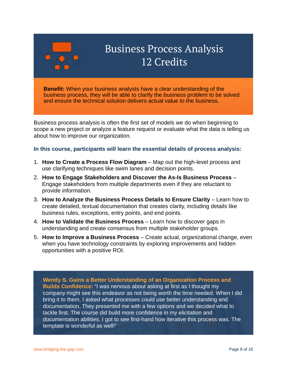

## Business Process Analysis 12 Credits

**Benefit:** When your business analysts have a clear understanding of the business process, they will be able to clarify the business problem to be solved and ensure the technical solution delivers actual value to the business.

Business process analysis is often the first set of models we do when beginning to scope a new project or analyze a feature request or evaluate what the data is telling us about how to improve our organization.

#### **In this course, participants will learn the essential details of process analysis:**

- 1. **How to Create a Process Flow Diagram** Map out the high-level process and use clarifying techniques like swim lanes and decision points.
- 2. **How to Engage Stakeholders and Discover the As-Is Business Process** Engage stakeholders from multiple departments even if they are reluctant to provide information.
- 3. How to Analyze the Business Process Details to Ensure Clarity Learn how to create detailed, textual documentation that creates clarity, including details like business rules, exceptions, entry points, and end points.
- 4. **How to Validate the Business Process** Learn how to discover gaps in understanding and create consensus from multiple stakeholder groups.
- 5. **How to Improve a Business Process** Create actual, organizational change, even when you have technology constraints by exploring improvements and hidden opportunities with a positive ROI.

**Wendy S. Gains a Better Understanding of an Organization Process and Builds Confidence:** "I was nervous about asking at first as I thought my company might see this endeavor as not being worth the time needed. When I did bring it to them, I asked what processes could use better understanding and documentation. They presented me with a few options and we decided what to tackle first. The course did build more confidence in my elicitation and documentation abilities. I got to see first-hand how iterative this process was. The template is wonderful as well!"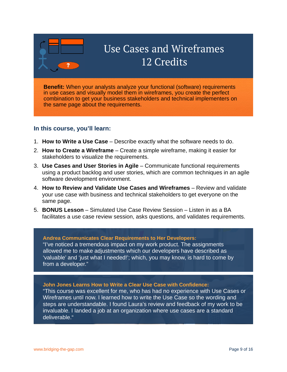

## Use Cases and Wireframes 12 Credits

**Benefit:** When your analysts analyze your functional (software) requirements in use cases and visually model them in wireframes, you create the perfect combination to get your business stakeholders and technical implementers on the same page about the requirements.

### **In this course, you'll learn:**

- 1. **How to Write a Use Case** Describe exactly what the software needs to do.
- 2. **How to Create a Wireframe** Create a simple wireframe, making it easier for stakeholders to visualize the requirements.
- 3. **Use Cases and User Stories in Agile** Communicate functional requirements using a product backlog and user stories, which are common techniques in an agile software development environment.
- 4. **How to Review and Validate Use Cases and Wireframes** Review and validate your use case with business and technical stakeholders to get everyone on the same page.
- 5. **BONUS Lesson** Simulated Use Case Review Session Listen in as a BA facilitates a use case review session, asks questions, and validates requirements.

#### **Andrea Communicates Clear Requirements to Her Developers:**

"I've noticed a tremendous impact on my work product. The assignments allowed me to make adjustments which our developers have described as 'valuable' and 'just what I needed!'; which, you may know, is hard to come by from a developer."

#### **John Jones Learns How to Write a Clear Use Case with Confidence:**

"This course was excellent for me, who has had no experience with Use Cases or Wireframes until now. I learned how to write the Use Case so the wording and steps are understandable. I found Laura's review and feedback of my work to be invaluable. I landed a job at an organization where use cases are a standard deliverable."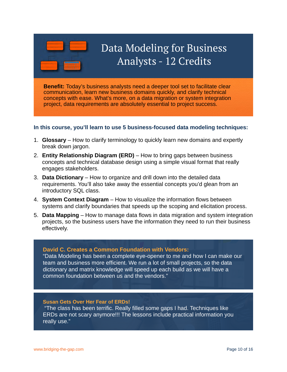

## Data Modeling for Business Analysts - 12 Credits

**Benefit:** Today's business analysts need a deeper tool set to facilitate clear communication, learn new business domains quickly, and clarify technical concepts with ease. What's more, on a data migration or system integration project, data requirements are absolutely essential to project success.

#### **In this course, you'll learn to use 5 business-focused data modeling techniques:**

- 1. **Glossary** How to clarify terminology to quickly learn new domains and expertly break down jargon.
- 2. **Entity Relationship Diagram (ERD)** How to bring gaps between business concepts and technical database design using a simple visual format that really engages stakeholders.
- 3. **Data Dictionary** How to organize and drill down into the detailed data requirements. You'll also take away the essential concepts you'd glean from an introductory SQL class.
- 4. **System Context Diagram** How to visualize the information flows between systems and clarify boundaries that speeds up the scoping and elicitation process.
- 5. **Data Mapping** How to manage data flows in data migration and system integration projects, so the business users have the information they need to run their business effectively.

#### **David C. Creates a Common Foundation with Vendors:**

"Data Modeling has been a complete eye-opener to me and how I can make our team and business more efficient. We run a lot of small projects, so the data dictionary and matrix knowledge will speed up each build as we will have a common foundation between us and the vendors."

#### **Susan Gets Over Her Fear of ERDs!**

 "The class has been terrific. Really filled some gaps I had. Techniques like ERDs are not scary anymore!!! The lessons include practical information you really use."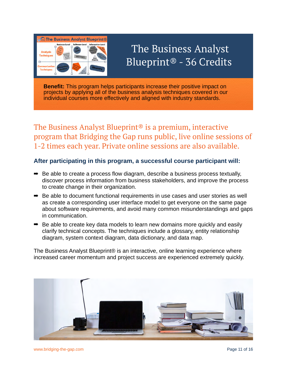

## The Business Analyst Blueprint® - 36 Credits

**Benefit:** This program helps participants increase their positive impact on projects by applying all of the business analysis techniques covered in our individual courses more effectively and aligned with industry standards.

The Business Analyst Blueprint<sup>®</sup> is a premium, interactive program that Bridging the Gap runs public, live online sessions of 1-2 times each year. Private online sessions are also available.

### **After participating in this program, a successful course participant will:**

- $\Rightarrow$  Be able to create a process flow diagram, describe a business process textually, discover process information from business stakeholders, and improve the process to create change in their organization.
- ➡ Be able to document functional requirements in use cases and user stories as well as create a corresponding user interface model to get everyone on the same page about software requirements, and avoid many common misunderstandings and gaps in communication.
- ➡ Be able to create key data models to learn new domains more quickly and easily clarify technical concepts. The techniques include a glossary, entity relationship diagram, system context diagram, data dictionary, and data map.

The Business Analyst Blueprint® is an interactive, online learning experience where increased career momentum and project success are experienced extremely quickly.

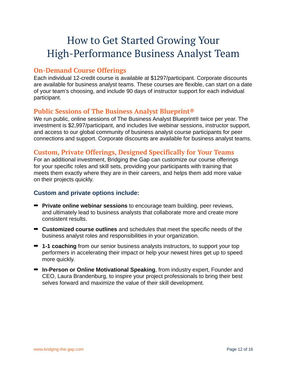## How to Get Started Growing Your High-Performance Business Analyst Team

## **On-Demand Course Offerings**

Each individual 12-credit course is available at \$1297/participant. Corporate discounts are available for business analyst teams. These courses are flexible, can start on a date of your team's choosing, and include 90 days of instructor support for each individual participant.

## **Public Sessions of The Business Analyst Blueprint®**

We run public, online sessions of The Business Analyst Blueprint® twice per year. The investment is \$2,997/participant, and includes live webinar sessions, instructor support, and access to our global community of business analyst course participants for peer connections and support. Corporate discounts are available for business analyst teams.

## **Custom, Private Offerings, Designed Specifically for Your Teams**

For an additional investment, Bridging the Gap can customize our course offerings for your specific roles and skill sets, providing your participants with training that meets them exactly where they are in their careers, and helps them add more value on their projects quickly.

### **Custom and private options include:**

- ➡ **Private online webinar sessions** to encourage team building, peer reviews, and ultimately lead to business analysts that collaborate more and create more consistent results.
- ➡ **Customized course outlines** and schedules that meet the specific needs of the business analyst roles and responsibilities in your organization.
- ➡ **1-1 coaching** from our senior business analysts instructors, to support your top performers in accelerating their impact or help your newest hires get up to speed more quickly.
- ➡ **In-Person or Online Motivational Speaking**, from industry expert, Founder and CEO, Laura Brandenburg, to inspire your project professionals to bring their best selves forward and maximize the value of their skill development.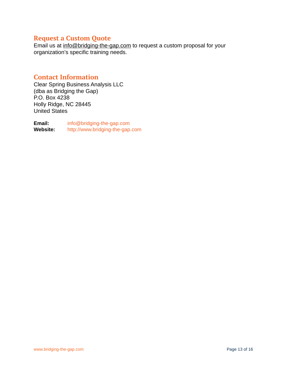## **Request a Custom Quote**

Email us at [info@bridging-the-gap.com](mailto:info@bridging-the-gap.com) to request a custom proposal for your organization's specific training needs.

## **Contact Information**

Clear Spring Business Analysis LLC (dba as Bridging the Gap) P.O. Box 4238 Holly Ridge, NC 28445 United States

**Email:** [info@bridging-the-gap.com](mailto:info@bridging-the-gap.com) **Website:** <http://www.bridging-the-gap.com>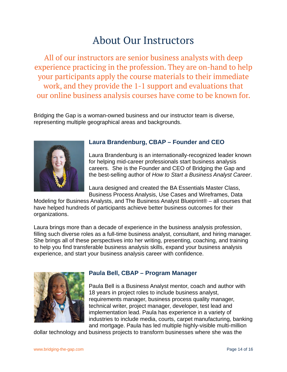## About Our Instructors

All of our instructors are senior business analysts with deep experience practicing in the profession. They are on-hand to help your participants apply the course materials to their immediate work, and they provide the 1-1 support and evaluations that our online business analysis courses have come to be known for.

Bridging the Gap is a woman-owned business and our instructor team is diverse, representing multiple geographical areas and backgrounds.



## **Laura Brandenburg, CBAP – Founder and CEO**

Laura Brandenburg is an internationally-recognized leader known for helping mid-career professionals start business analysis careers. She is the Founder and CEO of Bridging the Gap and the best-selling author of *How to Start a Business Analyst Career*.

Laura designed and created the BA Essentials Master Class, Business Process Analysis, Use Cases and Wireframes, Data

Modeling for Business Analysts, and The Business Analyst Blueprint® – all courses that have helped hundreds of participants achieve better business outcomes for their organizations.

Laura brings more than a decade of experience in the business analysis profession, filling such diverse roles as a full-time business analyst, consultant, and hiring manager. She brings all of these perspectives into her writing, presenting, coaching, and training to help you find transferable business analysis skills, expand your business analysis experience, and start your business analysis career with confidence.



## **Paula Bell, CBAP – Program Manager**

Paula Bell is a Business Analyst mentor, coach and author with 18 years in project roles to include business analyst, requirements manager, business process quality manager, technical writer, project manager, developer, test lead and implementation lead. Paula has experience in a variety of industries to include media, courts, carpet manufacturing, banking and mortgage. Paula has led multiple highly-visible multi-million

dollar technology and business projects to transform businesses where she was the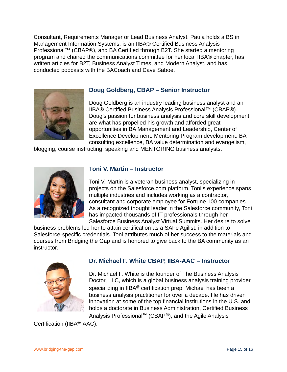Consultant, Requirements Manager or Lead Business Analyst. Paula holds a BS in Management Information Systems, is an IIBA® Certified Business Analysis Professional™ (CBAP®), and BA Certified through B2T. She started a mentoring program and chaired the communications committee for her local IIBA® chapter, has written articles for B2T, Business Analyst Times, and Modern Analyst, and has conducted podcasts with the BACoach and Dave Saboe.



### **Doug Goldberg, CBAP – Senior Instructor**

Doug Goldberg is an industry leading business analyst and an IIBA® Certified Business Analysis Professional™ (CBAP®). Doug's passion for business analysis and core skill development are what has propelled his growth and afforded great opportunities in BA Management and Leadership, Center of Excellence Development, Mentoring Program development, BA consulting excellence, BA value determination and evangelism,

blogging, course instructing, speaking and MENTORING business analysts.



## **Toni V. Martin – Instructor**

Toni V. Martin is a veteran business analyst, specializing in projects on the Salesforce.com platform. Toni's experience spans multiple industries and includes working as a contractor, consultant and corporate employee for Fortune 100 companies. As a recognized thought leader in the Salesforce community, Toni has impacted thousands of IT professionals through her Salesforce Business Analyst Virtual Summits. Her desire to solve

business problems led her to attain certification as a SAFe Agilist, in addition to Salesforce-specific credentials. Toni attributes much of her success to the materials and courses from Bridging the Gap and is honored to give back to the BA community as an instructor.



### **Dr. Michael F. White CBAP, IIBA-AAC – Instructor**

Dr. Michael F. White is the founder of The Business Analysis Doctor, LLC, which is a global business analysis training provider specializing in IIBA<sup>®</sup> certification prep. Michael has been a business analysis practitioner for over a decade. He has driven innovation at some of the top financial institutions in the U.S. and holds a doctorate in Business Administration, Certified Business Analysis Professional™ (CBAP®), and the Agile Analysis

Certification (IIBA®-AAC).